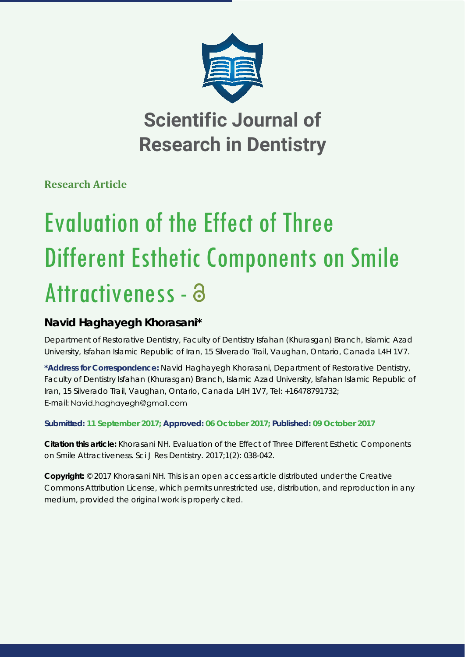

**Scientific Journal of Research in Dentistry**

**Research Article**

# Evaluation of the Effect of Three Different Esthetic Components on Smile Attractiveness - a

# **Navid Haghayegh Khorasani\***

*Department of Restorative Dentistry, Faculty of Dentistry Isfahan (Khurasgan) Branch, Islamic Azad University, Isfahan Islamic Republic of Iran, 15 Silverado Trail, Vaughan, Ontario, Canada L4H 1V7.*

**\*Address for Correspondence:** Navid Haghayegh Khorasani, Department of Restorative Dentistry, Faculty of Dentistry Isfahan (Khurasgan) Branch, Islamic Azad University, Isfahan Islamic Republic of Iran, 15 Silverado Trail, Vaughan, Ontario, Canada L4H 1V7, Tel: +16478791732; E-mail: Navid.haghayegh@gmail.com

**Submitted: 11 September 2017; Approved: 06 October 2017; Published: 09 October 2017**

**Citation this article:** Khorasani NH. Evaluation of the Effect of Three Different Esthetic Components on Smile Attractiveness. Sci J Res Dentistry. 2017;1(2): 038-042.

**Copyright:** © 2017 Khorasani NH. This is an open access article distributed under the Creative Commons Attribution License, which permits unrestricted use, distribution, and reproduction in any medium, provided the original work is properly cited.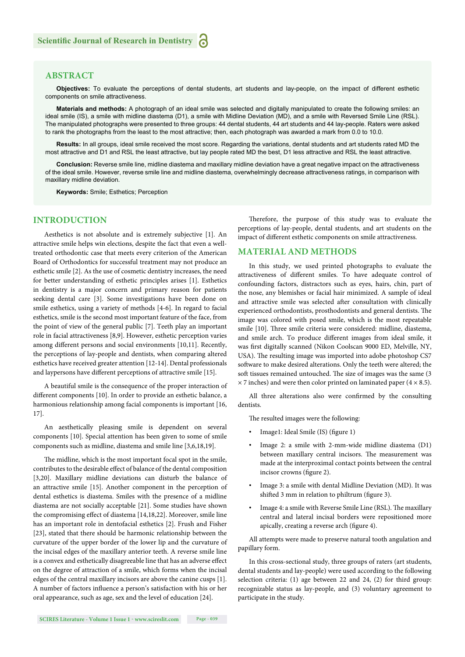### **ABSTRACT**

**Objectives:** To evaluate the perceptions of dental students, art students and lay-people, on the impact of different esthetic components on smile attractiveness.

**Materials and methods:** A photograph of an ideal smile was selected and digitally manipulated to create the following smiles: an ideal smile (IS), a smile with midline diastema (D1), a smile with Midline Deviation (MD), and a smile with Reversed Smile Line (RSL). The manipulated photographs were presented to three groups: 44 dental students, 44 art students and 44 lay-people. Raters were asked to rank the photographs from the least to the most attractive; then, each photograph was awarded a mark from 0.0 to 10.0.

**Results:** In all groups, ideal smile received the most score. Regarding the variations, dental students and art students rated MD the most attractive and D1 and RSL the least attractive, but lay people rated MD the best, D1 less attractive and RSL the least attractive.

**Conclusion:** Reverse smile line, midline diastema and maxillary midline deviation have a great negative impact on the attractiveness of the ideal smile. However, reverse smile line and midline diastema, overwhelmingly decrease attractiveness ratings, in comparison with maxillary midline deviation.

**Keywords:** Smile; Esthetics; Perception

#### **INTRODUCTION**

Aesthetics is not absolute and is extremely subjective [1]. An attractive smile helps win elections, despite the fact that even a welltreated orthodontic case that meets every criterion of the American Board of Orthodontics for successful treatment may not produce an esthetic smile [2]. As the use of cosmetic dentistry increases, the need for better understanding of esthetic principles arises [1]. Esthetics in dentistry is a major concern and primary reason for patients seeking dental care [3]. Some investigations have been done on smile esthetics, using a variety of methods [4-6]. In regard to facial esthetics, smile is the second most important feature of the face, from the point of view of the general public [7]. Teeth play an important role in facial attractiveness [8,9]. However, esthetic perception varies among different persons and social environments [10,11]. Recently, the perceptions of lay-people and dentists, when comparing altered esthetics have received greater attention [12-14]. Dental professionals and laypersons have different perceptions of attractive smile [15].

A beautiful smile is the consequence of the proper interaction of different components [10]. In order to provide an esthetic balance, a harmonious relationship among facial components is important [16, 17].

An aesthetically pleasing smile is dependent on several components [10]. Special attention has been given to some of smile components such as midline, diastema and smile line [3,6,18,19].

The midline, which is the most important focal spot in the smile, contributes to the desirable effect of balance of the dental composition [3,20]. Maxillary midline deviations can disturb the balance of an attractive smile [15]. Another component in the perception of dental esthetics is diastema. Smiles with the presence of a midline diastema are not socially acceptable [21]. Some studies have shown the compromising effect of diastema [14,18,22]. Moreover, smile line has an important role in dentofacial esthetics [2]. Frush and Fisher [23], stated that there should be harmonic relationship between the curvature of the upper border of the lower lip and the curvature of the incisal edges of the maxillary anterior teeth. A reverse smile line is a convex and esthetically disagreeable line that has an adverse effect on the degree of attraction of a smile, which forms when the incisal edges of the central maxillary incisors are above the canine cusps [1]. A number of factors influence a person's satisfaction with his or her oral appearance, such as age, sex and the level of education [24].

Therefore, the purpose of this study was to evaluate the perceptions of lay-people, dental students, and art students on the impact of different esthetic components on smile attractiveness.

#### **MATERIAL AND METHODS**

In this study, we used printed photographs to evaluate the attractiveness of different smiles. To have adequate control of confounding factors, distractors such as eyes, hairs, chin, part of the nose, any blemishes or facial hair minimized. A sample of ideal and attractive smile was selected after consultation with clinically experienced orthodontists, prosthodontists and general dentists. The image was colored with posed smile, which is the most repeatable smile [10]. Three smile criteria were considered: midline, diastema, and smile arch. To produce different images from ideal smile, it was first digitally scanned (Nikon Coolscan 9000 ED, Melville, NY, USA). The resulting image was imported into adobe photoshop CS7 software to make desired alterations. Only the teeth were altered; the soft tissues remained untouched. The size of images was the same (3  $\times$  7 inches) and were then color printed on laminated paper (4  $\times$  8.5).

All three alterations also were confirmed by the consulting dentists.

The resulted images were the following:

- Image1: Ideal Smile (IS) (figure 1)
- Image 2: a smile with 2-mm-wide midline diastema (D1) between maxillary central incisors. The measurement was made at the interproximal contact points between the central incisor crowns (figure 2).
- Image 3: a smile with dental Midline Deviation (MD). It was shifted 3 mm in relation to philtrum (figure 3).
- Image 4: a smile with Reverse Smile Line (RSL). The maxillary central and lateral incisal borders were repositioned more apically, creating a reverse arch (figure 4).

All attempts were made to preserve natural tooth angulation and papillary form.

In this cross-sectional study, three groups of raters (art students, dental students and lay-people) were used according to the following selection criteria: (1) age between 22 and 24, (2) for third group: recognizable status as lay-people, and (3) voluntary agreement to participate in the study.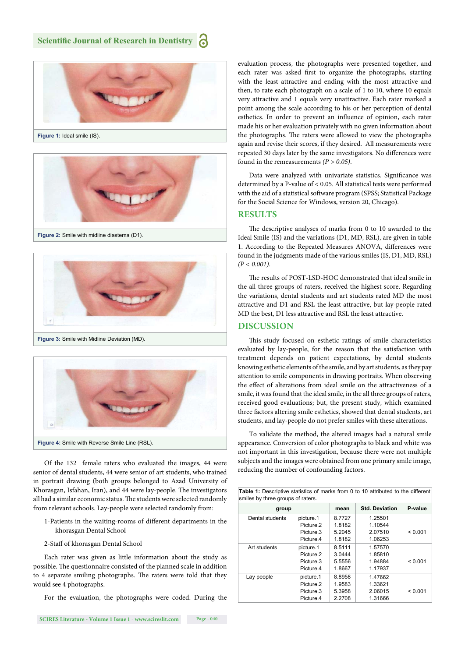





**Figure 3:** Smile with Midline Deviation (MD).



Of the 132 female raters who evaluated the images, 44 were senior of dental students, 44 were senior of art students, who trained in portrait drawing (both groups belonged to Azad University of Khorasgan, Isfahan, Iran), and 44 were lay-people. The investigators all had a similar economic status. The students were selected randomly from relevant schools. Lay-people were selected randomly from:

- 1-Patients in the waiting-rooms of different departments in the khorasgan Dental School
- 2-Staff of khorasgan Dental School

Each rater was given as little information about the study as possible. The questionnaire consisted of the planned scale in addition to 4 separate smiling photographs. The raters were told that they would see 4 photographs.

For the evaluation, the photographs were coded. During the

evaluation process, the photographs were presented together, and each rater was asked first to organize the photographs, starting with the least attractive and ending with the most attractive and then, to rate each photograph on a scale of 1 to 10, where 10 equals very attractive and 1 equals very unattractive. Each rater marked a point among the scale according to his or her perception of dental esthetics. In order to prevent an influence of opinion, each rater made his or her evaluation privately with no given information about the photographs. The raters were allowed to view the photographs again and revise their scores, if they desired. All measurements were repeated 30 days later by the same investigators. No differences were found in the remeasurements *(P > 0.05)*.

Data were analyzed with univariate statistics. Significance was determined by a P-value of < 0.05. All statistical tests were performed with the aid of a statistical software program (SPSS; Statistical Package for the Social Science for Windows, version 20, Chicago).

#### **RESULTS**

The descriptive analyses of marks from 0 to 10 awarded to the Ideal Smile (IS) and the variations (D1, MD, RSL), are given in table 1. According to the Repeated Measures ANOVA, differences were found in the judgments made of the various smiles (IS, D1, MD, RSL) *(P < 0.001)*.

The results of POST-LSD-HOC demonstrated that ideal smile in the all three groups of raters, received the highest score. Regarding the variations, dental students and art students rated MD the most attractive and D1 and RSL the least attractive, but lay-people rated MD the best, D1 less attractive and RSL the least attractive.

### **DISCUSSION**

This study focused on esthetic ratings of smile characteristics evaluated by lay-people, for the reason that the satisfaction with treatment depends on patient expectations, by dental students knowing esthetic elements of the smile, and by art students, as they pay attention to smile components in drawing portraits. When observing the effect of alterations from ideal smile on the attractiveness of a smile, it was found that the ideal smile, in the all three groups of raters, received good evaluations; but, the present study, which examined three factors altering smile esthetics, showed that dental students, art students, and lay-people do not prefer smiles with these alterations.

To validate the method, the altered images had a natural smile appearance. Conversion of color photographs to black and white was not important in this investigation, because there were not multiple subjects and the images were obtained from one primary smile image, reducing the number of confounding factors.

| Table 1: Descriptive statistics of marks from 0 to 10 attributed to the different<br>smiles by three groups of raters. |                       |        |                       |         |
|------------------------------------------------------------------------------------------------------------------------|-----------------------|--------|-----------------------|---------|
| group                                                                                                                  |                       | mean   | <b>Std. Deviation</b> | P-value |
| Dental students                                                                                                        | picture.1             | 8.7727 | 1.25501               |         |
|                                                                                                                        | Picture <sub>2</sub>  | 1.8182 | 1.10544               |         |
|                                                                                                                        | Picture.3             | 5.2045 | 2.07510               | < 0.001 |
|                                                                                                                        | Picture <sub>.4</sub> | 1.8182 | 1.06253               |         |
| Art students                                                                                                           | picture.1             | 8.5111 | 1.57570               |         |
|                                                                                                                        | Picture <sub>2</sub>  | 3.0444 | 1.85810               |         |
|                                                                                                                        | Picture 3             | 5.5556 | 1.94884               | < 0.001 |
|                                                                                                                        | Picture.4             | 1.8667 | 1.17937               |         |
| Lay people                                                                                                             | picture.1             | 8.8958 | 1.47662               |         |
|                                                                                                                        | Picture <sub>2</sub>  | 1.9583 | 1.33621               |         |
|                                                                                                                        | Picture.3             | 5.3958 | 2.06015               | < 0.001 |
|                                                                                                                        | Picture.4             | 2.2708 | 1.31666               |         |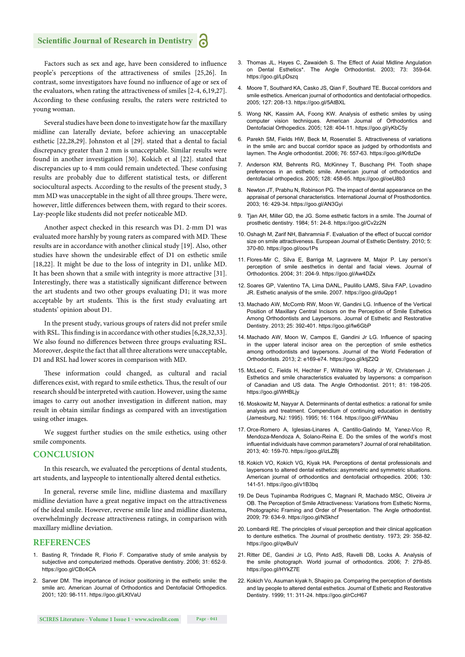## **Scientific Journal of Research in Dentistry**

Factors such as sex and age, have been considered to influence people's perceptions of the attractiveness of smiles [25,26]. In contrast, some investigators have found no influence of age or sex of the evaluators, when rating the attractiveness of smiles [2-4, 6,19,27]. According to these confusing results, the raters were restricted to young woman.

Several studies have been done to investigate how far the maxillary midline can laterally deviate, before achieving an unacceptable esthetic [22,28,29]. Johnston et al [29]. stated that a dental to facial discrepancy greater than 2 mm is unacceptable. Similar results were found in another investigation [30]. Kokich et al [22]. stated that discrepancies up to 4 mm could remain undetected. These confusing results are probably due to different statistical tests, or different sociocultural aspects. According to the results of the present study, 3 mm MD was unacceptable in the sight of all three groups. There were, however, little differences between them, with regard to their scores. Lay-people like students did not prefer noticeable MD.

Another aspect checked in this research was D1. 2-mm D1 was evaluated more harshly by young raters as compared with MD. These results are in accordance with another clinical study [19]. Also, other studies have shown the undesirable effect of D1 on esthetic smile [18,22]. It might be due to the loss of integrity in D1, unlike MD. It has been shown that a smile with integrity is more attractive [31]. Interestingly, there was a statistically significant difference between the art students and two other groups evaluating D1; it was more acceptable by art students. This is the first study evaluating art students' opinion about D1.

In the present study, various groups of raters did not prefer smile with RSL. This finding is in accordance with other studies [6,28,32,33]. We also found no differences between three groups evaluating RSL. Moreover, despite the fact that all three alterations were unacceptable, D1 and RSL had lower scores in comparison with MD.

These information could changed, as cultural and racial differences exist, with regard to smile esthetics. Thus, the result of our research should be interpreted with caution. However, using the same images to carry out another investigation in different nation, may result in obtain similar findings as compared with an investigation using other images.

We suggest further studies on the smile esthetics, using other smile components.

#### **CONCLUSION**

In this research, we evaluated the perceptions of dental students, art students, and laypeople to intentionally altered dental esthetics.

In general, reverse smile line, midline diastema and maxillary midline deviation have a great negative impact on the attractiveness of the ideal smile. However, reverse smile line and midline diastema, overwhelmingly decrease attractiveness ratings, in comparison with maxillary midline deviation.

#### **REFERENCES**

- 1. Basting R, Trindade R, Florio F. Comparative study of smile analysis by subjective and computerized methods. Operative dentistry. 2006; 31: 652-9. https://goo.gl/CBc4CA
- 2. Sarver DM. The importance of incisor positioning in the esthetic smile: the smile arc. American Journal of Orthodontics and Dentofacial Orthopedics. 2001; 120: 98-111. https://goo.gl/LKtVaU
- 3. Thomas JL, Hayes C, Zawaideh S. The Effect of Axial Midline Angulation on Dental Esthetics\*. The Angle Orthodontist. 2003; 73: 359-64. https://goo.gl/LpDszq
- 4. Moore T, Southard KA, Casko JS, Qian F, Southard TE. Buccal corridors and smile esthetics. American journal of orthodontics and dentofacial orthopedics. 2005; 127: 208-13. https://goo.gl/5AtBXL
- 5. Wong NK, Kassim AA, Foong KW. Analysis of esthetic smiles by using computer vision techniques. American Journal of Orthodontics and Dentofacial Orthopedics. 2005; 128: 404-11. https://goo.gl/yKbC5y
- 6. Parekh SM, Fields HW, Beck M, Rosenstiel S. Attractiveness of variations in the smile arc and buccal corridor space as judged by orthodontists and laymen. The Angle orthodontist. 2006; 76: 557-63. https://goo.gl/Kr8zDe
- 7. Anderson KM, Behrents RG, McKinney T, Buschang PH. Tooth shape preferences in an esthetic smile. American journal of orthodontics and dentofacial orthopedics. 2005; 128: 458-65. https://goo.gl/oeU8b3
- 8. Newton JT, Prabhu N, Robinson PG. The impact of dental appearance on the appraisal of personal characteristics. International Journal of Prosthodontics. 2003; 16: 429-34. https://goo.gl/AN3Gyi
- 9. Tjan AH, Miller GD, the JG. Some esthetic factors in a smile. The Journal of prosthetic dentistry. 1984; 51: 24-8. https://goo.gl/Cv2z2N
- 10. Oshagh M, Zarif NH, Bahramnia F. Evaluation of the effect of buccal corridor size on smile attractiveness. European Journal of Esthetic Dentistry. 2010; 5: 370-80. https://goo.gl/oou1Ps
- 11. Flores-Mir C, Silva E, Barriga M, Lagravere M, Major P. Lay person's perception of smile aesthetics in dental and facial views. Journal of Orthodontics. 2004; 31: 204-9. https://goo.gl/Aw4DZx
- 12. Soares GP, Valentino TA, Lima DANL, Paulillo LAMS, Silva FAP, Lovadino JR. Esthetic analysis of the smile. 2007. https://goo.gl/duQpp1
- 13. Machado AW, McComb RW, Moon W, Gandini LG. Influence of the Vertical Position of Maxillary Central Incisors on the Perception of Smile Esthetics Among Orthodontists and Laypersons. Journal of Esthetic and Restorative Dentistry. 2013; 25: 392-401. https://goo.gl/fw6GbP
- 14. Machado AW, Moon W, Campos E, Gandini Jr LG. Influence of spacing in the upper lateral incisor area on the perception of smile esthetics among orthodontists and laypersons. Journal of the World Federation of Orthodontists. 2013; 2: e169-e74. https://goo.gl/ktjZ2Q
- 15. McLeod C, Fields H, Hechter F, Wiltshire W, Rody Jr W, Christensen J. Esthetics and smile characteristics evaluated by laypersons: a comparison of Canadian and US data. The Angle Orthodontist. 2011; 81: 198-205. https://goo.gl/WHBLjy
- 16. Moskowitz M, Nayyar A. Determinants of dental esthetics: a rational for smile analysis and treatment. Compendium of continuing education in dentistry (Jamesburg, NJ: 1995). 1995; 16: 1164. https://goo.gl/FrWNau
- 17. Orce-Romero A, Iglesias-Linares A, Cantillo-Galindo M, Yanez-Vico R, Mendoza-Mendoza A, Solano-Reina E. Do the smiles of the world's most influential individuals have common parameters? Journal of oral rehabilitation. 2013; 40: 159-70. https://goo.gl/izLZBj
- 18. Kokich VO, Kokich VG, Kiyak HA. Perceptions of dental professionals and laypersons to altered dental esthetics: asymmetric and symmetric situations. American journal of orthodontics and dentofacial orthopedics. 2006; 130: 141-51. https://goo.gl/v1B3bq
- 19. De Deus Tupinamba Rodrigues C, Magnani R, Machado MSC, Oliveira Jr OB. The Perception of Smile Attractiveness: Variations from Esthetic Norms, Photographic Framing and Order of Presentation. The Angle orthodontist. 2009; 79: 634-9. https://goo.gl/NSkhcf
- 20. Lombardi RE. The principles of visual perception and their clinical application to denture esthetics. The Journal of prosthetic dentistry. 1973; 29: 358-82. https://goo.gl/qwBuiV
- 21. Ritter DE, Gandini Jr LG, Pinto AdS, Ravelli DB, Locks A. Analysis of the smile photograph. World journal of orthodontics. 2006; 7: 279-85. https://goo.gl/HYkZ7E
- 22. Kokich Vo, Asuman kiyak h, Shapiro pa. Comparing the perception of dentists and lay people to altered dental esthetics. Journal of Esthetic and Restorative Dentistry. 1999; 11: 311-24. https://goo.gl/rCcH67